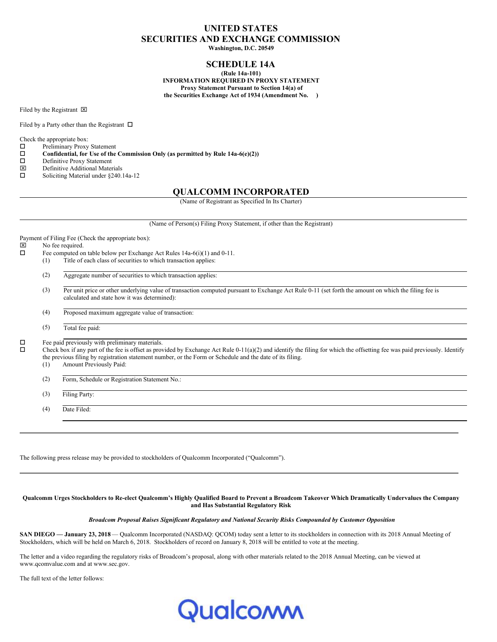# **UNITED STATES SECURITIES AND EXCHANGE COMMISSION**

**Washington, D.C. 20549**

# **SCHEDULE 14A**

**(Rule 14a-101) INFORMATION REQUIRED IN PROXY STATEMENT Proxy Statement Pursuant to Section 14(a) of the Securities Exchange Act of 1934 (Amendment No. )**

Filed by the Registrant  $\boxtimes$ 

Filed by a Party other than the Registrant  $\Box$ 

Check the appropriate box:<br> $\Box$  Preliminary Proxy

- Preliminary Proxy Statement
- $\square$  Confidential, for Use of the Commission Only (as permitted by Rule 14a-6(e)(2))<br> $\square$  Definitive Proxy Statement
- $\Box$  Definitive Proxy Statement
- $\boxtimes$  Definitive Additional Materials<br>  $\square$  Soliciting Material under §240.
- Soliciting Material under §240.14a-12

# **QUALCOMM INCORPORATED**

(Name of Registrant as Specified In Its Charter)

(Name of Person(s) Filing Proxy Statement, if other than the Registrant)

Payment of Filing Fee (Check the appropriate box):

- $\boxtimes$  No fee required.<br> $\Box$  Fee computed or
	- Fee computed on table below per Exchange Act Rules 14a-6(i)(1) and 0-11.
	- (1) Title of each class of securities to which transaction applies:
		- (2) Aggregate number of securities to which transaction applies:
		- (3) Per unit price or other underlying value of transaction computed pursuant to Exchange Act Rule 0-11 (set forth the amount on which the filing fee is calculated and state how it was determined):
		- (4) Proposed maximum aggregate value of transaction:
		- (5) Total fee paid:

 $\square$  Fee paid previously with preliminary materials.<br> $\square$  Check box if any part of the fee is offset as pro-

o Check box if any part of the fee is offset as provided by Exchange Act Rule 0-11(a)(2) and identify the filing for which the offsetting fee was paid previously. Identify the previous filing by registration statement number, or the Form or Schedule and the date of its filing.

- (1) Amount Previously Paid:
- (2) Form, Schedule or Registration Statement No.:
- (3) Filing Party:

(4) Date Filed:

The following press release may be provided to stockholders of Qualcomm Incorporated ("Qualcomm").

#### Qualcomm Urges Stockholders to Re-elect Qualcomm's Highly Qualified Board to Prevent a Broadcom Takeover Which Dramatically Undervalues the Company **and Has Substantial Regulatory Risk**

#### *Broadcom Proposal Raises Significant Regulatory and National Security Risks Compounded by Customer Opposition*

**SAN DIEGO — January 23, 2018** — Qualcomm Incorporated (NASDAQ: QCOM) today sent a letter to its stockholders in connection with its 2018 Annual Meeting of Stockholders, which will be held on March 6, 2018. Stockholders of record on January 8, 2018 will be entitled to vote at the meeting.

The letter and a video regarding the regulatory risks of Broadcom's proposal, along with other materials related to the 2018 Annual Meeting, can be viewed at www.qcomvalue.com and at www.sec.gov.

The full text of the letter follows:

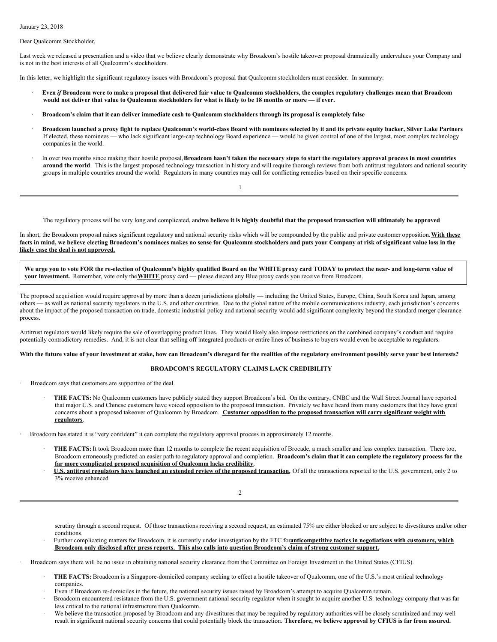January 23, 2018

Dear Qualcomm Stockholder,

Last week we released a presentation and a video that we believe clearly demonstrate why Broadcom's hostile takeover proposal dramatically undervalues your Company and is not in the best interests of all Qualcomm's stockholders.

In this letter, we highlight the significant regulatory issues with Broadcom's proposal that Qualcomm stockholders must consider. In summary:

- Even if Broadcom were to make a proposal that delivered fair value to Qualcomm stockholders, the complex regulatory challenges mean that Broadcom would not deliver that value to Qualcomm stockholders for what is likely to be 18 months or more - if ever.
- Broadcom's claim that it can deliver immediate cash to Qualcomm stockholders through its proposal is completely false
- Broadcom launched a proxy fight to replace Qualcomm's world-class Board with nominees selected by it and its private equity backer, Silver Lake Partners If elected, these nominees — who lack significant large-cap technology Board experience — would be given control of one of the largest, most complex technology companies in the world.
- In over two months since making their hostile proposal, Broadcom hasn't taken the necessary steps to start the regulatory approval process in most countries **around the world**. This is the largest proposed technology transaction in history and will require thorough reviews from both antitrust regulators and national security groups in multiple countries around the world. Regulators in many countries may call for conflicting remedies based on their specific concerns.

The regulatory process will be very long and complicated, andwe believe it is highly doubtful that the proposed transaction will ultimately be approved

In short, the Broadcom proposal raises significant regulatory and national security risks which will be compounded by the public and private customer opposition.**With these** facts in mind, we believe electing Broadcom's nominees makes no sense for Qualcomm stockholders and puts your Company at risk of significant value loss in the **likely case the deal is not approved.**

1

We urge you to vote FOR the re-election of Qualcomm's highly qualified Board on the WHITE proxy card TODAY to protect the near- and long-term value of **your investment.** Remember, vote only the**WHITE** proxy card — please discard any Blue proxy cards you receive from Broadcom.

The proposed acquisition would require approval by more than a dozen jurisdictions globally — including the United States, Europe, China, South Korea and Japan, among others — as well as national security regulators in the U.S. and other countries. Due to the global nature of the mobile communications industry, each jurisdiction's concerns about the impact of the proposed transaction on trade, domestic industrial policy and national security would add significant complexity beyond the standard merger clearance process.

Antitrust regulators would likely require the sale of overlapping product lines. They would likely also impose restrictions on the combined company's conduct and require potentially contradictory remedies. And, it is not clear that selling off integrated products or entire lines of business to buyers would even be acceptable to regulators.

#### With the future value of your investment at stake, how can Broadcom's disregard for the realities of the regulatory environment possibly serve your best interests?

# **BROADCOM'S REGULATORY CLAIMS LACK CREDIBILITY**

Broadcom says that customers are supportive of the deal.

· **THE FACTS:** No Qualcomm customers have publicly stated they support Broadcom's bid. On the contrary, CNBC and the Wall Street Journal have reported that major U.S. and Chinese customers have voiced opposition to the proposed transaction. Privately we have heard from many customers that they have great concerns about a proposed takeover of Qualcomm by Broadcom. **Customer opposition to the proposed transaction will carry significant weight with regulators**.

**·** Broadcom has stated it is "very confident" it can complete the regulatory approval process in approximately 12 months.

- THE FACTS: It took Broadcom more than 12 months to complete the recent acquisition of Brocade, a much smaller and less complex transaction. There too, Broadcom erroneously predicted an easier path to regulatory approval and completion. Broadcom's claim that it can complete the regulatory process for the **far more complicated proposed acquisition of Qualcomm lacks credibility**.
- U.S. antitrust regulators have launched an extended review of the proposed transaction. Of all the transactions reported to the U.S. government, only 2 to 3% receive enhanced

2

scrutiny through a second request. Of those transactions receiving a second request, an estimated 75% are either blocked or are subject to divestitures and/or other conditions.

· Further complicating matters for Broadcom, it is currently under investigation by the FTC for**anticompetitive tactics in negotiations with customers, which** Broadcom only disclosed after press reports. This also calls into question Broadcom's claim of strong customer support,

· Broadcom says there will be no issue in obtaining national security clearance from the Committee on Foreign Investment in the United States (CFIUS).

- · **THE FACTS:** Broadcom is a Singapore-domiciled company seeking to effect a hostile takeover of Qualcomm, one of the U.S.'s most critical technology companies.
- Even if Broadcom re-domiciles in the future, the national security issues raised by Broadcom's attempt to acquire Qualcomm remain.
- Broadcom encountered resistance from the U.S. government national security regulator when it sought to acquire another U.S. technology company that was far less critical to the national infrastructure than Qualcomm.
- We believe the transaction proposed by Broadcom and any divestitures that may be required by regulatory authorities will be closely scrutinized and may well result in significant national security concerns that could potentially block the transaction. Therefore, we believe approval by CFIUS is far from assured.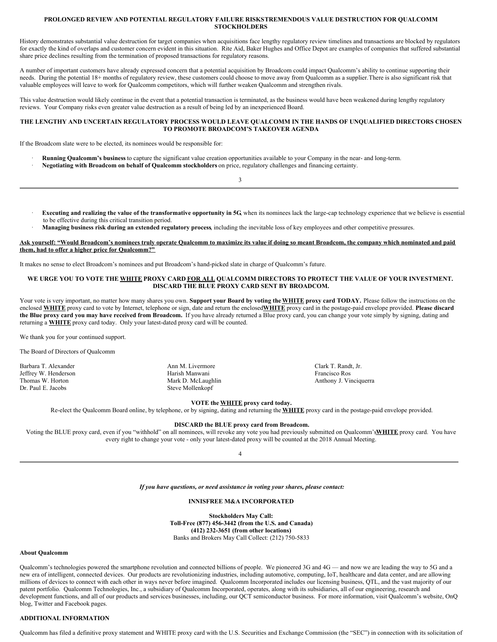#### **PROLONGED REVIEW AND POTENTIAL REGULATORY FAILURE RISKSTREMENDOUS VALUE DESTRUCTION FOR QUALCOMM STOCKHOLDERS**

History demonstrates substantial value destruction for target companies when acquisitions face lengthy regulatory review timelines and transactions are blocked by regulators for exactly the kind of overlaps and customer concern evident in this situation. Rite Aid, Baker Hughes and Office Depot are examples of companies that suffered substantial share price declines resulting from the termination of proposed transactions for regulatory reasons.

A number of important customers have already expressed concern that a potential acquisition by Broadcom could impact Qualcomm's ability to continue supporting their needs. During the potential 18+ months of regulatory review, these customers could choose to move away from Qualcomm as a supplier.There is also significant risk that valuable employees will leave to work for Qualcomm competitors, which will further weaken Qualcomm and strengthen rivals.

This value destruction would likely continue in the event that a potential transaction is terminated, as the business would have been weakened during lengthy regulatory reviews. Your Company risks even greater value destruction as a result of being led by an inexperienced Board.

# **THE LENGTHY AND UNCERTAIN REGULATORY PROCESS WOULD LEAVE QUALCOMM IN THE HANDS OF UNQUALIFIED DIRECTORS CHOSEN TO PROMOTE BROADCOM'S TAKEOVER AGENDA**

3

If the Broadcom slate were to be elected, its nominees would be responsible for:

- · **Running Qualcomm's business** to capture the significant value creation opportunities available to your Company in the near- and long-term.
- · **Negotiating with Broadcom on behalf of Qualcomm stockholders** on price, regulatory challenges and financing certainty.

Executing and realizing the value of the transformative opportunity in 5G, when its nominees lack the large-cap technology experience that we believe is essential to be effective during this critical transition period.

· **Managing business risk during an extended regulatory process**, including the inevitable loss of key employees and other competitive pressures.

#### Ask yourself: "Would Broadcom's nominees truly operate Qualcomm to maximize its value if doing so meant Broadcom, the company which nominated and paid **them, had to offer a higher price for Qualcomm?"**

It makes no sense to elect Broadcom's nominees and put Broadcom's hand-picked slate in charge of Qualcomm's future.

# WE URGE YOU TO VOTE THE WHITE PROXY CARD FOR ALL QUALCOMM DIRECTORS TO PROTECT THE VALUE OF YOUR INVESTMENT. **DISCARD THE BLUE PROXY CARD SENT BY BROADCOM.**

Your vote is very important, no matter how many shares you own. **Support your Board by voting theWHITE proxy card TODAY.** Please follow the instructions on the enclosed **WHITE** proxy card to vote by Internet, telephone or sign, date and return the enclosed**WHITE** proxy card in the postage-paid envelope provided. **Please discard** the Blue proxy card you may have received from Broadcom. If you have already returned a Blue proxy card, you can change your vote simply by signing, dating and returning a **WHITE** proxy card today. Only your latest-dated proxy card will be counted.

We thank you for your continued support.

The Board of Directors of Qualcomm

Barbara T. Alexander Jeffrey W. Henderson Thomas W. Horton Dr. Paul E. Jacobs

Ann M. Livermore Harish Manwani Mark D. McLaughlin Steve Mollenkopf

Clark T. Randt, Jr. Francisco Ros Anthony J. Vinciquerra

**VOTE the WHITE proxy card today.** Re-elect the Qualcomm Board online, by telephone, or by signing, dating and returning the **WHITE** proxy card in the postage-paid envelope provided.

### **DISCARD the BLUE proxy card from Broadcom.**

Voting the BLUE proxy card, even if you "withhold" on all nominees, will revoke any vote you had previously submitted on Qualcomm's**WHITE** proxy card. You have every right to change your vote - only your latest-dated proxy will be counted at the 2018 Annual Meeting.

4

*If you have questions, or need assistance in voting your shares, please contact:*

**INNISFREE M&A INCORPORATED**

**Stockholders May Call: Toll-Free (877) 456-3442 (from the U.S. and Canada) (412) 232-3651 (from other locations)** Banks and Brokers May Call Collect: (212) 750-5833

# **About Qualcomm**

Qualcomm's technologies powered the smartphone revolution and connected billions of people. We pioneered 3G and 4G — and now we are leading the way to 5G and a new era of intelligent, connected devices. Our products are revolutionizing industries, including automotive, computing, IoT, healthcare and data center, and are allowing millions of devices to connect with each other in ways never before imagined. Qualcomm Incorporated includes our licensing business, QTL, and the vast majority of our patent portfolio. Qualcomm Technologies, Inc., a subsidiary of Qualcomm Incorporated, operates, along with its subsidiaries, all of our engineering, research and development functions, and all of our products and services businesses, including, our QCT semiconductor business. For more information, visit Qualcomm's website, OnQ blog, Twitter and Facebook pages.

### **ADDITIONAL INFORMATION**

Qualcomm has filed a definitive proxy statement and WHITE proxy card with the U.S. Securities and Exchange Commission (the "SEC") in connection with its solicitation of